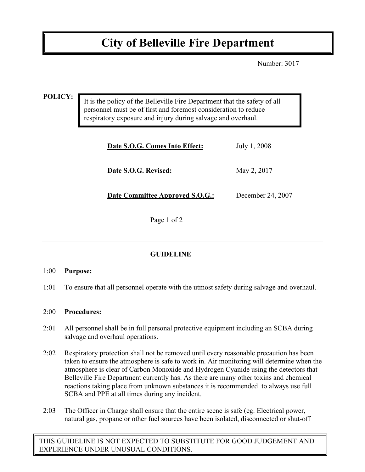# **City of Belleville Fire Department**

Number: 3017

#### **POLICY:**

It is the policy of the Belleville Fire Department that the safety of all personnel must be of first and foremost consideration to reduce respiratory exposure and injury during salvage and overhaul.

| Date S.O.G. Comes Into Effect:  | July 1, 2008      |
|---------------------------------|-------------------|
| Date S.O.G. Revised:            | May 2, 2017       |
| Date Committee Approved S.O.G.: | December 24, 2007 |

Page 1 of 2

### **GUIDELINE**

#### 1:00 **Purpose:**

1:01 To ensure that all personnel operate with the utmost safety during salvage and overhaul.

#### 2:00 **Procedures:**

- 2:01 All personnel shall be in full personal protective equipment including an SCBA during salvage and overhaul operations.
- 2:02 Respiratory protection shall not be removed until every reasonable precaution has been taken to ensure the atmosphere is safe to work in. Air monitoring will determine when the atmosphere is clear of Carbon Monoxide and Hydrogen Cyanide using the detectors that Belleville Fire Department currently has. As there are many other toxins and chemical reactions taking place from unknown substances it is recommended to always use full SCBA and PPE at all times during any incident.
- 2:03 The Officer in Charge shall ensure that the entire scene is safe (eg. Electrical power, natural gas, propane or other fuel sources have been isolated, disconnected or shut-off